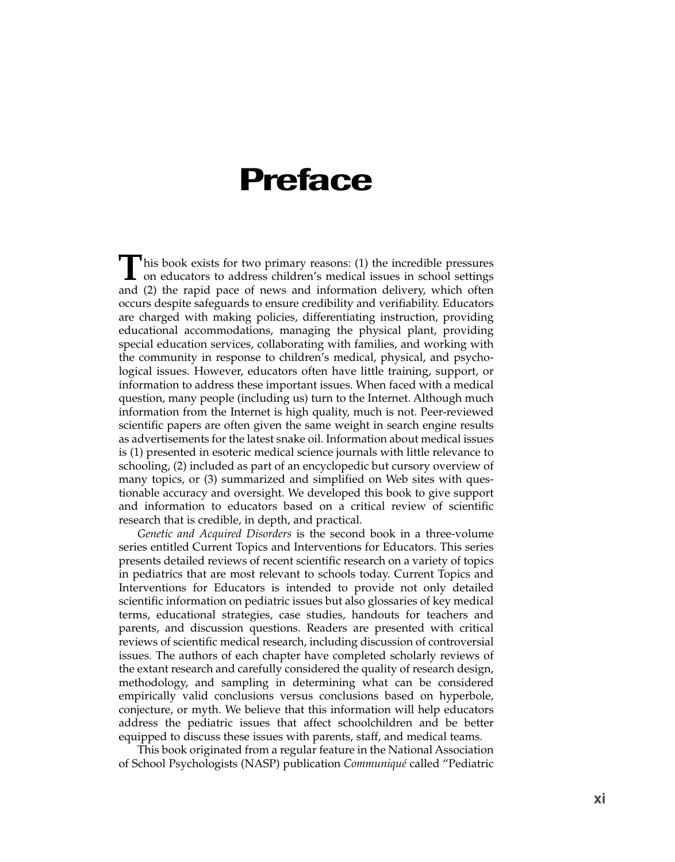## **Preface**

**T**his book exists for two primary reasons: (1) the incredible pressures on educators to address children's medical issues in school settings and (2) the rapid pace of news and information delivery, which often occurs despite safeguards to ensure credibility and verifiability. Educators are charged with making policies, differentiating instruction, providing educational accommodations, managing the physical plant, providing special education services, collaborating with families, and working with the community in response to children's medical, physical, and psychological issues. However, educators often have little training, support, or information to address these important issues. When faced with a medical question, many people (including us) turn to the Internet. Although much information from the Internet is high quality, much is not. Peer-reviewed scientific papers are often given the same weight in search engine results as advertisements for the latest snake oil. Information about medical issues is (1) presented in esoteric medical science journals with little relevance to schooling, (2) included as part of an encyclopedic but cursory overview of many topics, or (3) summarized and simplified on Web sites with questionable accuracy and oversight. We developed this book to give support and information to educators based on a critical review of scientific research that is credible, in depth, and practical.

*Genetic and Acquired Disorders* is the second book in a three-volume series entitled Current Topics and Interventions for Educators. This series presents detailed reviews of recent scientific research on a variety of topics in pediatrics that are most relevant to schools today. Current Topics and Interventions for Educators is intended to provide not only detailed scientific information on pediatric issues but also glossaries of key medical terms, educational strategies, case studies, handouts for teachers and parents, and discussion questions. Readers are presented with critical reviews of scientific medical research, including discussion of controversial issues. The authors of each chapter have completed scholarly reviews of the extant research and carefully considered the quality of research design, methodology, and sampling in determining what can be considered empirically valid conclusions versus conclusions based on hyperbole, conjecture, or myth. We believe that this information will help educators address the pediatric issues that affect schoolchildren and be better equipped to discuss these issues with parents, staff, and medical teams.

This book originated from a regular feature in the National Association of School Psychologists (NASP) publication *Communiqué* called "Pediatric